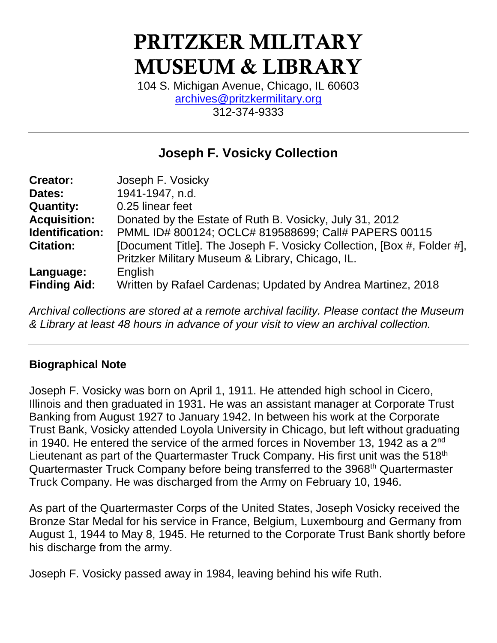# PRITZKER MILITARY MUSEUM & LIBRARY

104 S. Michigan Avenue, Chicago, IL 60603 [archives@pritzkermilitary.org](mailto:archives@pritzkermilitary.org) 312-374-9333

# **Joseph F. Vosicky Collection**

| <b>Creator:</b>     | Joseph F. Vosicky                                                      |
|---------------------|------------------------------------------------------------------------|
| Dates:              | 1941-1947, n.d.                                                        |
| <b>Quantity:</b>    | 0.25 linear feet                                                       |
| <b>Acquisition:</b> | Donated by the Estate of Ruth B. Vosicky, July 31, 2012                |
| Identification:     | PMML ID# 800124; OCLC# 819588699; Call# PAPERS 00115                   |
| <b>Citation:</b>    | [Document Title]. The Joseph F. Vosicky Collection, [Box #, Folder #], |
|                     | Pritzker Military Museum & Library, Chicago, IL.                       |
| Language:           | English                                                                |
| <b>Finding Aid:</b> | Written by Rafael Cardenas; Updated by Andrea Martinez, 2018           |

*Archival collections are stored at a remote archival facility. Please contact the Museum & Library at least 48 hours in advance of your visit to view an archival collection.*

## **Biographical Note**

Joseph F. Vosicky was born on April 1, 1911. He attended high school in Cicero, Illinois and then graduated in 1931. He was an assistant manager at Corporate Trust Banking from August 1927 to January 1942. In between his work at the Corporate Trust Bank, Vosicky attended Loyola University in Chicago, but left without graduating in 1940. He entered the service of the armed forces in November 13, 1942 as a  $2^{nd}$ Lieutenant as part of the Quartermaster Truck Company. His first unit was the 518<sup>th</sup> Quartermaster Truck Company before being transferred to the 3968<sup>th</sup> Quartermaster Truck Company. He was discharged from the Army on February 10, 1946.

As part of the Quartermaster Corps of the United States, Joseph Vosicky received the Bronze Star Medal for his service in France, Belgium, Luxembourg and Germany from August 1, 1944 to May 8, 1945. He returned to the Corporate Trust Bank shortly before his discharge from the army.

Joseph F. Vosicky passed away in 1984, leaving behind his wife Ruth.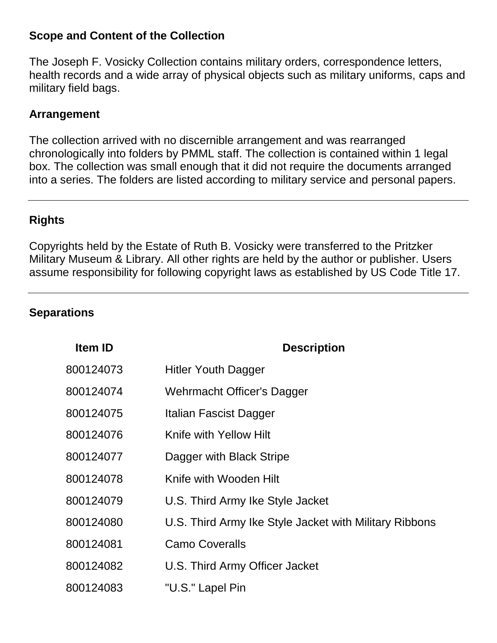#### **Scope and Content of the Collection**

The Joseph F. Vosicky Collection contains military orders, correspondence letters, health records and a wide array of physical objects such as military uniforms, caps and military field bags.

#### **Arrangement**

The collection arrived with no discernible arrangement and was rearranged chronologically into folders by PMML staff. The collection is contained within 1 legal box. The collection was small enough that it did not require the documents arranged into a series. The folders are listed according to military service and personal papers.

## **Rights**

Copyrights held by the Estate of Ruth B. Vosicky were transferred to the Pritzker Military Museum & Library. All other rights are held by the author or publisher. Users assume responsibility for following copyright laws as established by US Code Title 17.

#### **Separations**

| Item ID   | <b>Description</b>                                     |
|-----------|--------------------------------------------------------|
| 800124073 | <b>Hitler Youth Dagger</b>                             |
| 800124074 | Wehrmacht Officer's Dagger                             |
| 800124075 | Italian Fascist Dagger                                 |
| 800124076 | Knife with Yellow Hilt                                 |
| 800124077 | Dagger with Black Stripe                               |
| 800124078 | Knife with Wooden Hilt                                 |
| 800124079 | U.S. Third Army Ike Style Jacket                       |
| 800124080 | U.S. Third Army Ike Style Jacket with Military Ribbons |
| 800124081 | <b>Camo Coveralls</b>                                  |
| 800124082 | U.S. Third Army Officer Jacket                         |
| 800124083 | "U.S." Lapel Pin                                       |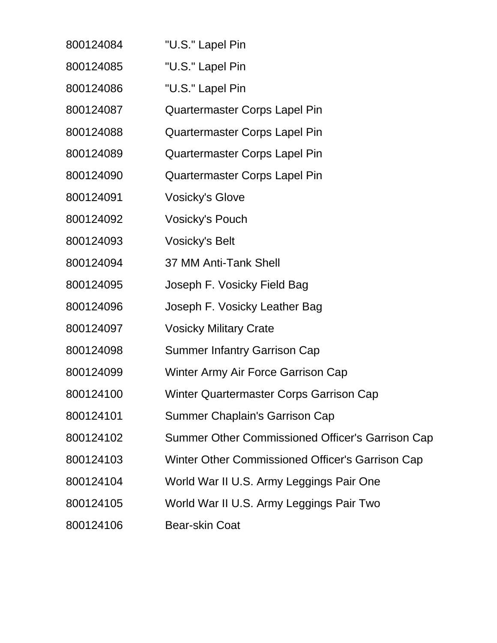| 800124084 | "U.S." Lapel Pin                                 |
|-----------|--------------------------------------------------|
| 800124085 | "U.S." Lapel Pin                                 |
| 800124086 | "U.S." Lapel Pin                                 |
| 800124087 | Quartermaster Corps Lapel Pin                    |
| 800124088 | <b>Quartermaster Corps Lapel Pin</b>             |
| 800124089 | Quartermaster Corps Lapel Pin                    |
| 800124090 | Quartermaster Corps Lapel Pin                    |
| 800124091 | <b>Vosicky's Glove</b>                           |
| 800124092 | <b>Vosicky's Pouch</b>                           |
| 800124093 | <b>Vosicky's Belt</b>                            |
| 800124094 | 37 MM Anti-Tank Shell                            |
| 800124095 | Joseph F. Vosicky Field Bag                      |
| 800124096 | Joseph F. Vosicky Leather Bag                    |
| 800124097 | <b>Vosicky Military Crate</b>                    |
| 800124098 | <b>Summer Infantry Garrison Cap</b>              |
| 800124099 | Winter Army Air Force Garrison Cap               |
| 800124100 | <b>Winter Quartermaster Corps Garrison Cap</b>   |
| 800124101 | <b>Summer Chaplain's Garrison Cap</b>            |
| 800124102 | Summer Other Commissioned Officer's Garrison Cap |
| 800124103 | Winter Other Commissioned Officer's Garrison Cap |
| 800124104 | World War II U.S. Army Leggings Pair One         |
| 800124105 | World War II U.S. Army Leggings Pair Two         |
| 800124106 | <b>Bear-skin Coat</b>                            |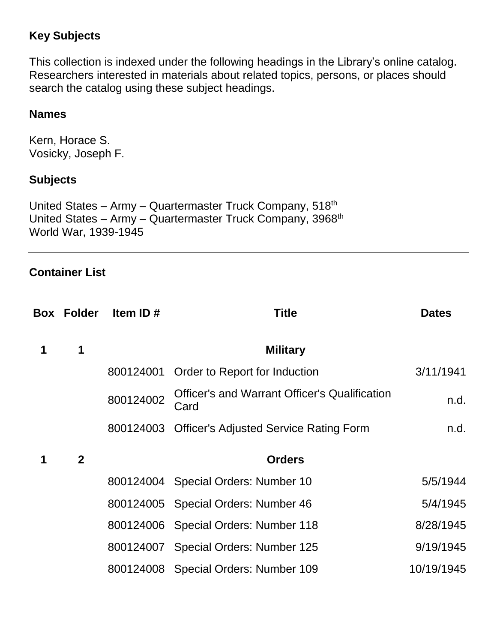# **Key Subjects**

This collection is indexed under the following headings in the Library's online catalog. Researchers interested in materials about related topics, persons, or places should search the catalog using these subject headings.

#### **Names**

Kern, Horace S. Vosicky, Joseph F.

#### **Subjects**

United States – Army – Quartermaster Truck Company, 518<sup>th</sup> United States – Army – Quartermaster Truck Company, 3968<sup>th</sup> World War, 1939-1945

#### **Container List**

|   | <b>Box Folder</b> | Item ID $#$ | <b>Title</b>                                                 | <b>Dates</b> |
|---|-------------------|-------------|--------------------------------------------------------------|--------------|
| 1 | 1                 |             | <b>Military</b>                                              |              |
|   |                   | 800124001   | Order to Report for Induction                                | 3/11/1941    |
|   |                   | 800124002   | <b>Officer's and Warrant Officer's Qualification</b><br>Card | n.d.         |
|   |                   | 800124003   | <b>Officer's Adjusted Service Rating Form</b>                | n.d.         |
| 1 | $\mathbf{2}$      |             | <b>Orders</b>                                                |              |
|   |                   |             | 800124004 Special Orders: Number 10                          | 5/5/1944     |
|   |                   |             | 800124005 Special Orders: Number 46                          | 5/4/1945     |
|   |                   |             | 800124006 Special Orders: Number 118                         | 8/28/1945    |
|   |                   |             | 800124007 Special Orders: Number 125                         | 9/19/1945    |
|   |                   |             | 800124008 Special Orders: Number 109                         | 10/19/1945   |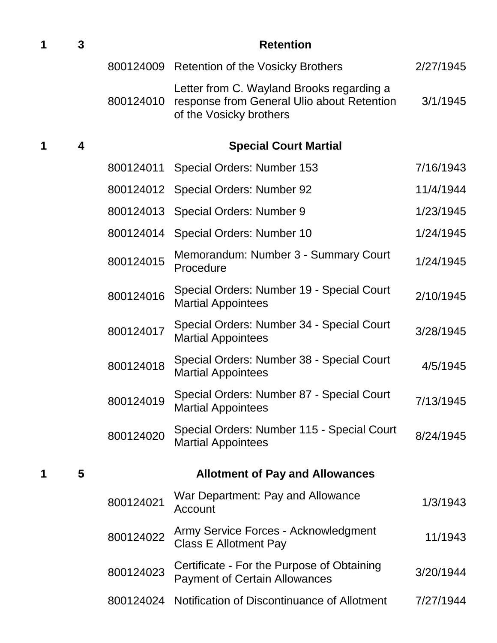| 1 | 3                       | <b>Retention</b> |                                                                                                                    |           |
|---|-------------------------|------------------|--------------------------------------------------------------------------------------------------------------------|-----------|
|   |                         |                  | 800124009 Retention of the Vosicky Brothers                                                                        | 2/27/1945 |
|   |                         | 800124010        | Letter from C. Wayland Brooks regarding a<br>response from General Ulio about Retention<br>of the Vosicky brothers | 3/1/1945  |
| 1 | $\overline{\mathbf{4}}$ |                  | <b>Special Court Martial</b>                                                                                       |           |
|   |                         | 800124011        | Special Orders: Number 153                                                                                         | 7/16/1943 |
|   |                         |                  | 800124012 Special Orders: Number 92                                                                                | 11/4/1944 |
|   |                         |                  | 800124013 Special Orders: Number 9                                                                                 | 1/23/1945 |
|   |                         | 800124014        | Special Orders: Number 10                                                                                          | 1/24/1945 |
|   |                         | 800124015        | Memorandum: Number 3 - Summary Court<br>Procedure                                                                  | 1/24/1945 |
|   |                         | 800124016        | Special Orders: Number 19 - Special Court<br><b>Martial Appointees</b>                                             | 2/10/1945 |
|   |                         | 800124017        | Special Orders: Number 34 - Special Court<br><b>Martial Appointees</b>                                             | 3/28/1945 |
|   |                         | 800124018        | Special Orders: Number 38 - Special Court<br><b>Martial Appointees</b>                                             | 4/5/1945  |
|   |                         | 800124019        | Special Orders: Number 87 - Special Court<br><b>Martial Appointees</b>                                             | 7/13/1945 |
|   |                         | 800124020        | Special Orders: Number 115 - Special Court<br><b>Martial Appointees</b>                                            | 8/24/1945 |
| 1 | 5                       |                  | <b>Allotment of Pay and Allowances</b>                                                                             |           |
|   |                         | 800124021        | War Department: Pay and Allowance<br>Account                                                                       | 1/3/1943  |
|   |                         | 800124022        | Army Service Forces - Acknowledgment<br><b>Class E Allotment Pay</b>                                               | 11/1943   |
|   |                         | 800124023        | Certificate - For the Purpose of Obtaining<br><b>Payment of Certain Allowances</b>                                 | 3/20/1944 |
|   |                         | 800124024        | Notification of Discontinuance of Allotment                                                                        | 7/27/1944 |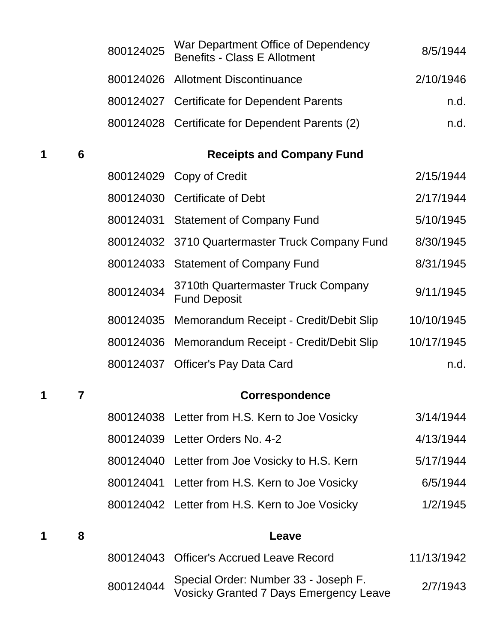|   |   | 800124025 | War Department Office of Dependency<br><b>Benefits - Class E Allotment</b>            | 8/5/1944   |
|---|---|-----------|---------------------------------------------------------------------------------------|------------|
|   |   |           | 800124026 Allotment Discontinuance                                                    | 2/10/1946  |
|   |   |           | 800124027 Certificate for Dependent Parents                                           | n.d.       |
|   |   |           | 800124028 Certificate for Dependent Parents (2)                                       | n.d.       |
| 1 | 6 |           | <b>Receipts and Company Fund</b>                                                      |            |
|   |   |           | 800124029 Copy of Credit                                                              | 2/15/1944  |
|   |   |           | 800124030 Certificate of Debt                                                         | 2/17/1944  |
|   |   |           | 800124031 Statement of Company Fund                                                   | 5/10/1945  |
|   |   |           | 800124032 3710 Quartermaster Truck Company Fund                                       | 8/30/1945  |
|   |   |           | 800124033 Statement of Company Fund                                                   | 8/31/1945  |
|   |   | 800124034 | 3710th Quartermaster Truck Company<br><b>Fund Deposit</b>                             | 9/11/1945  |
|   |   | 800124035 | Memorandum Receipt - Credit/Debit Slip                                                | 10/10/1945 |
|   |   | 800124036 | Memorandum Receipt - Credit/Debit Slip                                                | 10/17/1945 |
|   |   | 800124037 | <b>Officer's Pay Data Card</b>                                                        | n.d.       |
| 1 | 7 |           | <b>Correspondence</b>                                                                 |            |
|   |   |           | 800124038 Letter from H.S. Kern to Joe Vosicky                                        | 3/14/1944  |
|   |   |           | 800124039 Letter Orders No. 4-2                                                       | 4/13/1944  |
|   |   |           | 800124040 Letter from Joe Vosicky to H.S. Kern                                        | 5/17/1944  |
|   |   | 800124041 | Letter from H.S. Kern to Joe Vosicky                                                  | 6/5/1944   |
|   |   |           | 800124042 Letter from H.S. Kern to Joe Vosicky                                        | 1/2/1945   |
| 1 | 8 |           | Leave                                                                                 |            |
|   |   | 800124043 | <b>Officer's Accrued Leave Record</b>                                                 | 11/13/1942 |
|   |   | 800124044 | Special Order: Number 33 - Joseph F.<br><b>Vosicky Granted 7 Days Emergency Leave</b> | 2/7/1943   |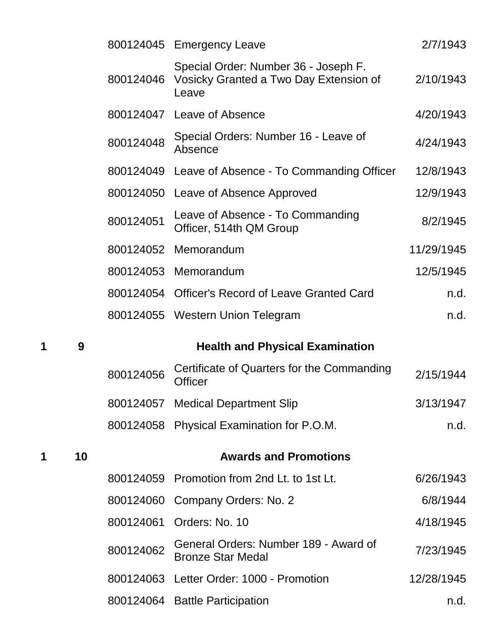|   |    |           | 800124045 Emergency Leave                                                                         | 2/7/1943   |
|---|----|-----------|---------------------------------------------------------------------------------------------------|------------|
|   |    |           | Special Order: Number 36 - Joseph F.<br>800124046 Vosicky Granted a Two Day Extension of<br>Leave | 2/10/1943  |
|   |    |           | 800124047 Leave of Absence                                                                        | 4/20/1943  |
|   |    | 800124048 | Special Orders: Number 16 - Leave of<br>Absence                                                   | 4/24/1943  |
|   |    |           | 800124049 Leave of Absence - To Commanding Officer                                                | 12/8/1943  |
|   |    |           | 800124050 Leave of Absence Approved                                                               | 12/9/1943  |
|   |    | 800124051 | Leave of Absence - To Commanding<br>Officer, 514th QM Group                                       | 8/2/1945   |
|   |    |           | 800124052 Memorandum                                                                              | 11/29/1945 |
|   |    |           | 800124053 Memorandum                                                                              | 12/5/1945  |
|   |    |           | 800124054 Officer's Record of Leave Granted Card                                                  | n.d.       |
|   |    |           | 800124055 Western Union Telegram                                                                  | n.d.       |
| 1 | 9  |           | <b>Health and Physical Examination</b>                                                            |            |
|   |    |           |                                                                                                   |            |
|   |    | 800124056 | Certificate of Quarters for the Commanding<br><b>Officer</b>                                      | 2/15/1944  |
|   |    |           | 800124057 Medical Department Slip                                                                 | 3/13/1947  |
|   |    |           | 800124058 Physical Examination for P.O.M.                                                         | n.d.       |
| 1 | 10 |           | <b>Awards and Promotions</b>                                                                      |            |
|   |    |           | 800124059 Promotion from 2nd Lt. to 1st Lt.                                                       | 6/26/1943  |
|   |    | 800124060 | Company Orders: No. 2                                                                             | 6/8/1944   |
|   |    | 800124061 | Orders: No. 10                                                                                    | 4/18/1945  |
|   |    | 800124062 | General Orders: Number 189 - Award of<br><b>Bronze Star Medal</b>                                 | 7/23/1945  |
|   |    |           | 800124063 Letter Order: 1000 - Promotion                                                          | 12/28/1945 |